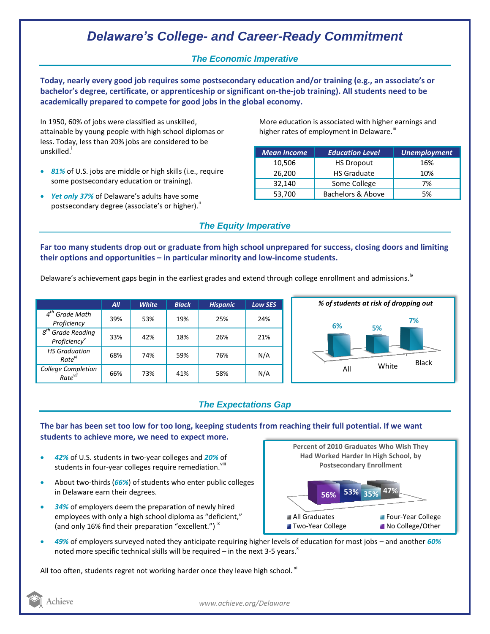# *Delaware's College- and Career-Ready Commitment*

### *The Economic Imperative*

**Today, nearly every good job requires some postsecondary education and/or training (e.g., an associate's or bachelor's degree, certificate, or apprenticeship or significant on-the-job training). All students need to be academically prepared to compete for good jobs in the global economy.**

In 1950, 60% of jobs were classified as unskilled, attainable by young people with high school diplomas or less. Today, less than 20% jobs are considered to be unskilled.<sup>i</sup>

- *81%* of U.S. jobs are middle or high skills (i.e., require some postsecondary education or training).
- *Yet only 37%* of Delaware's adults have some postsecondary degree (associate's or higher)."

More education is associated with higher earnings and higher rates of employment in Delaware.<sup>""</sup>

| <b>Mean Income</b> | <b>Education Level</b> | <b>Unemployment</b> |
|--------------------|------------------------|---------------------|
| 10,506             | <b>HS Dropout</b>      | 16%                 |
| 26,200             | <b>HS Graduate</b>     | 10%                 |
| 32,140             | Some College           | 7%                  |
| 53,700             | Bachelors & Above      | 5%                  |

### *The Equity Imperative*

**Far too many students drop out or graduate from high school unprepared for success, closing doors and limiting their options and opportunities – in particular minority and low-income students.** 

Delaware's achievement gaps begin in the earliest grades and extend through college enrollment and admissions.<sup>iv</sup>

|                                                              | All | <b>White</b> | <b>Black</b> | <b>Hispanic</b> | <b>Low SES</b> |
|--------------------------------------------------------------|-----|--------------|--------------|-----------------|----------------|
| $4th$ Grade Math<br>Proficiency                              | 39% | 53%          | 19%          | 25%             | 24%            |
| $g^{tn}$<br><b>Grade Reading</b><br>Proficiency <sup>v</sup> | 33% | 42%          | 18%          | 26%             | 21%            |
| <b>HS Graduation</b><br>Rate <sup>vi</sup>                   | 68% | 74%          | 59%          | 76%             | N/A            |
| <b>College Completion</b><br>Rate <sup>vii</sup>             | 66% | 73%          | 41%          | 58%             | N/A            |



## *The Expectations Gap*

**The bar has been set too low for too long, keeping students from reaching their full potential. If we want students to achieve more, we need to expect more.**

- *42%* of U.S. students in two-year colleges and *20%* of students in four-year colleges require remediation. Vill
- About two-thirds (*66%*) of students who enter public colleges in Delaware earn their degrees.
- *34%* of employers deem the preparation of newly hired employees with only a high school diploma as "deficient," (and only 16% find their preparation "excellent.")<sup>ix</sup>



 *49%* of employers surveyed noted they anticipate requiring higher levels of education for most jobs – and another *60%* noted more specific technical skills will be required – in the next 3-5 years.<sup> $x$ </sup>

All too often, students regret not working harder once they leave high school.  $x_i$ 

Achieve